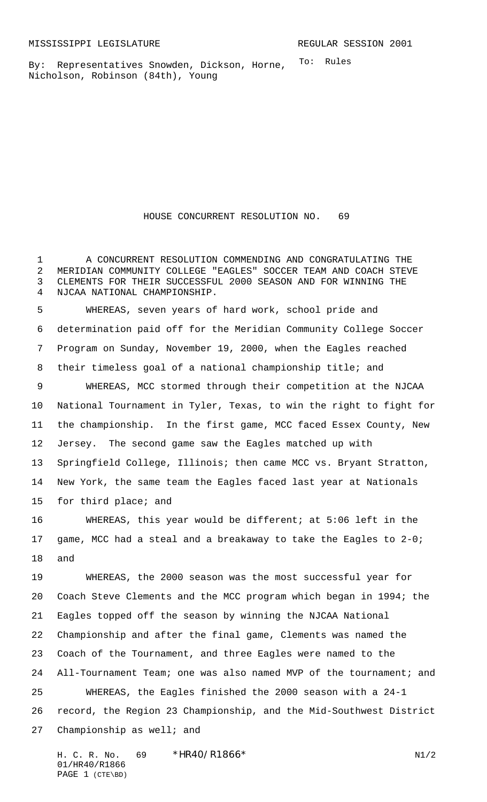To: Rules By: Representatives Snowden, Dickson, Horne, Nicholson, Robinson (84th), Young

HOUSE CONCURRENT RESOLUTION NO. 69

 A CONCURRENT RESOLUTION COMMENDING AND CONGRATULATING THE MERIDIAN COMMUNITY COLLEGE "EAGLES" SOCCER TEAM AND COACH STEVE CLEMENTS FOR THEIR SUCCESSFUL 2000 SEASON AND FOR WINNING THE NJCAA NATIONAL CHAMPIONSHIP.

 WHEREAS, seven years of hard work, school pride and determination paid off for the Meridian Community College Soccer Program on Sunday, November 19, 2000, when the Eagles reached their timeless goal of a national championship title; and WHEREAS, MCC stormed through their competition at the NJCAA National Tournament in Tyler, Texas, to win the right to fight for the championship. In the first game, MCC faced Essex County, New Jersey. The second game saw the Eagles matched up with Springfield College, Illinois; then came MCC vs. Bryant Stratton, New York, the same team the Eagles faced last year at Nationals for third place; and

 WHEREAS, this year would be different; at 5:06 left in the game, MCC had a steal and a breakaway to take the Eagles to 2-0; and

 WHEREAS, the 2000 season was the most successful year for Coach Steve Clements and the MCC program which began in 1994; the Eagles topped off the season by winning the NJCAA National Championship and after the final game, Clements was named the Coach of the Tournament, and three Eagles were named to the All-Tournament Team; one was also named MVP of the tournament; and WHEREAS, the Eagles finished the 2000 season with a 24-1 record, the Region 23 Championship, and the Mid-Southwest District Championship as well; and

H. C. R. No. \*HR40/R1866\* N1/2 01/HR40/R1866 PAGE 1 (CTE\BD)